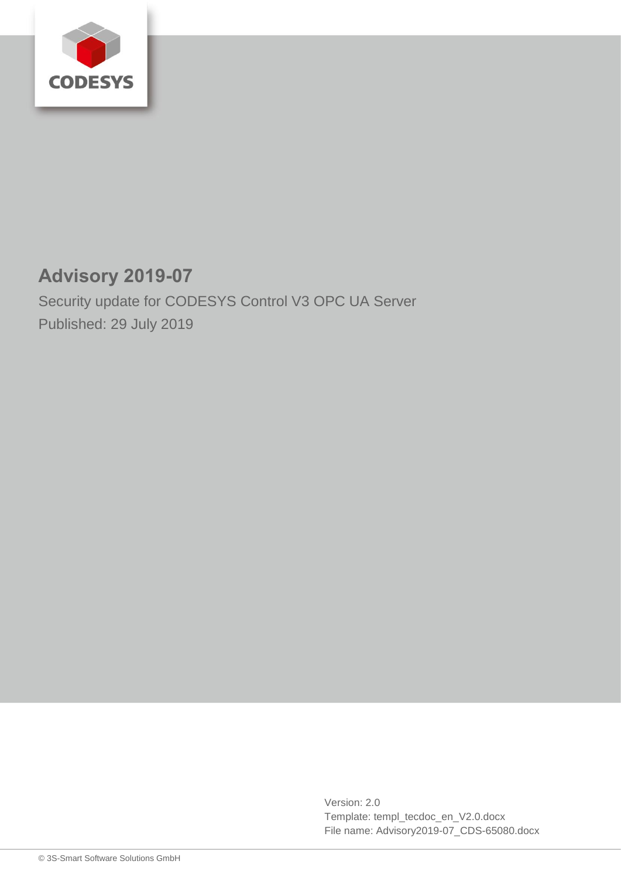

# **Advisory 2019-07**

Security update for CODESYS Control V3 OPC UA Server Published: 29 July 2019

> Version: 2.0 Template: templ\_tecdoc\_en\_V2.0.docx File name: Advisory2019-07\_CDS-65080.docx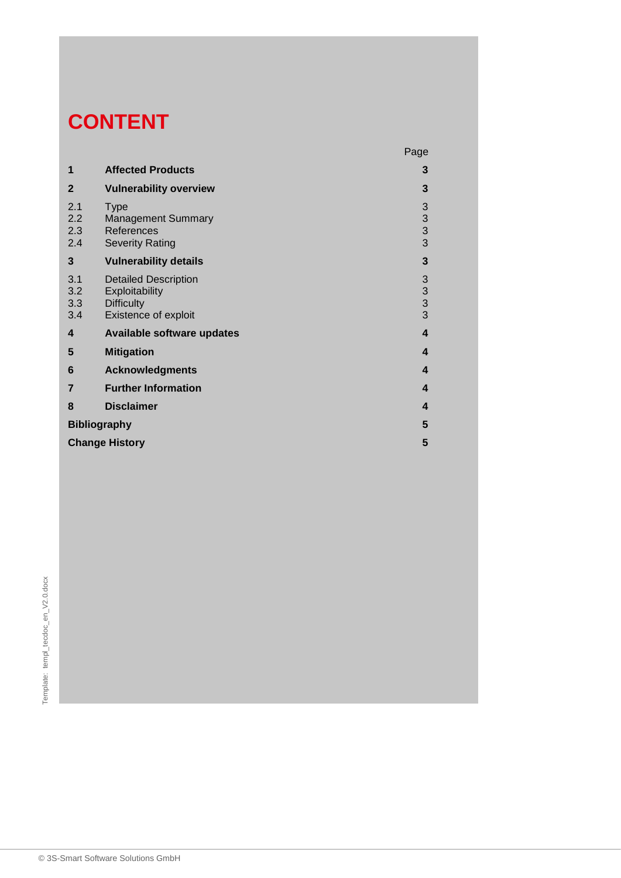# **CONTENT**

|                          |                                                                                            | Page                                       |
|--------------------------|--------------------------------------------------------------------------------------------|--------------------------------------------|
| 1                        | <b>Affected Products</b>                                                                   | 3                                          |
| $\mathbf{2}$             | <b>Vulnerability overview</b>                                                              | 3                                          |
| 2.1<br>2.2<br>2.3<br>2.4 | <b>Type</b><br><b>Management Summary</b><br>References<br><b>Severity Rating</b>           | $\begin{array}{c} 3 \\ 3 \\ 3 \end{array}$ |
| 3                        | <b>Vulnerability details</b>                                                               | $\mathbf{3}$                               |
| 3.1<br>3.2<br>3.3<br>3.4 | <b>Detailed Description</b><br>Exploitability<br><b>Difficulty</b><br>Existence of exploit | $\begin{array}{c} 3 \\ 3 \\ 3 \end{array}$ |
| 4                        | <b>Available software updates</b>                                                          | $\overline{\mathbf{4}}$                    |
| 5                        | <b>Mitigation</b>                                                                          | $\overline{\mathbf{4}}$                    |
| 6                        | <b>Acknowledgments</b>                                                                     | 4                                          |
| $\overline{7}$           | <b>Further Information</b>                                                                 | 4                                          |
| 8                        | <b>Disclaimer</b>                                                                          | 4                                          |
| <b>Bibliography</b>      |                                                                                            | 5                                          |
| <b>Change History</b>    |                                                                                            |                                            |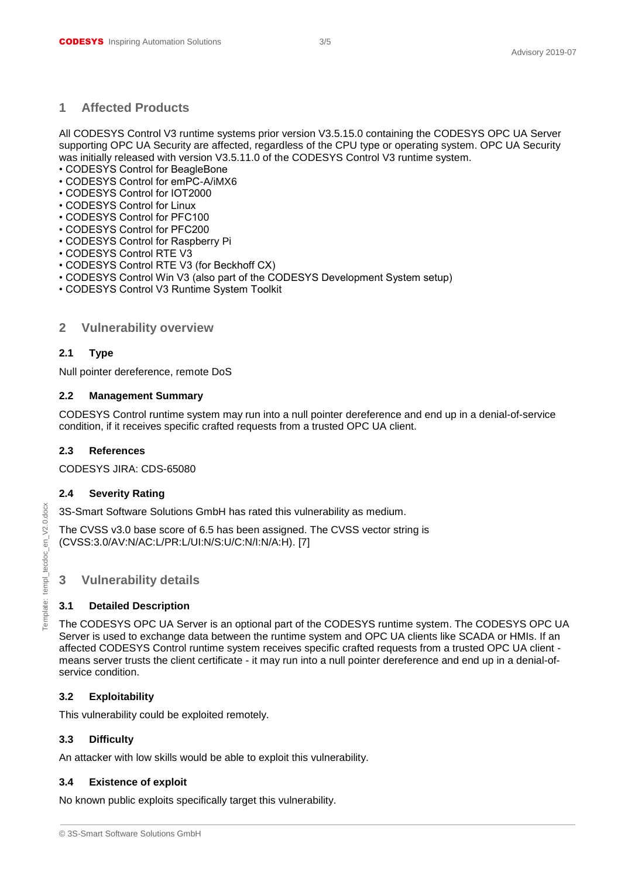#### <span id="page-2-0"></span>**1 Affected Products**

All CODESYS Control V3 runtime systems prior version V3.5.15.0 containing the CODESYS OPC UA Server supporting OPC UA Security are affected, regardless of the CPU type or operating system. OPC UA Security was initially released with version V3.5.11.0 of the CODESYS Control V3 runtime system.

- CODESYS Control for BeagleBone
- CODESYS Control for emPC-A/iMX6
- CODESYS Control for IOT2000
- CODESYS Control for Linux
- CODESYS Control for PFC100
- CODESYS Control for PFC200
- CODESYS Control for Raspberry Pi
- CODESYS Control RTE V3
- CODESYS Control RTE V3 (for Beckhoff CX)
- CODESYS Control Win V3 (also part of the CODESYS Development System setup)
- <span id="page-2-1"></span>• CODESYS Control V3 Runtime System Toolkit

#### **2 Vulnerability overview**

#### <span id="page-2-2"></span>**2.1 Type**

Null pointer dereference, remote DoS

#### <span id="page-2-3"></span>**2.2 Management Summary**

CODESYS Control runtime system may run into a null pointer dereference and end up in a denial-of-service condition, if it receives specific crafted requests from a trusted OPC UA client.

#### <span id="page-2-4"></span>**2.3 References**

CODESYS JIRA: CDS-65080

#### <span id="page-2-5"></span>**2.4 Severity Rating**

3S-Smart Software Solutions GmbH has rated this vulnerability as medium.

The CVSS v3.0 base score of 6.5 has been assigned. The CVSS vector string is (CVSS:3.0/AV:N/AC:L/PR:L/UI:N/S:U/C:N/I:N/A:H). [7]

#### <span id="page-2-6"></span>**3 Vulnerability details**

#### <span id="page-2-7"></span>**3.1 Detailed Description**

The CODESYS OPC UA Server is an optional part of the CODESYS runtime system. The CODESYS OPC UA Server is used to exchange data between the runtime system and OPC UA clients like SCADA or HMIs. If an affected CODESYS Control runtime system receives specific crafted requests from a trusted OPC UA client means server trusts the client certificate - it may run into a null pointer dereference and end up in a denial-ofservice condition.

#### <span id="page-2-8"></span>**3.2 Exploitability**

This vulnerability could be exploited remotely.

#### <span id="page-2-9"></span>**3.3 Difficulty**

An attacker with low skills would be able to exploit this vulnerability.

#### <span id="page-2-10"></span>**3.4 Existence of exploit**

No known public exploits specifically target this vulnerability.

<sup>© 3</sup>S-Smart Software Solutions GmbH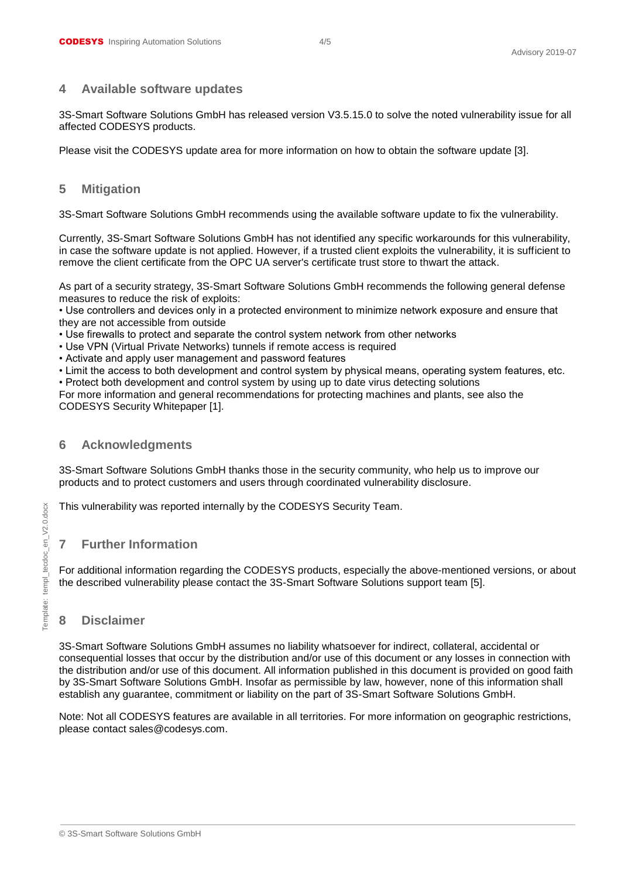#### <span id="page-3-0"></span>**4 Available software updates**

3S-Smart Software Solutions GmbH has released version V3.5.15.0 to solve the noted vulnerability issue for all affected CODESYS products.

<span id="page-3-1"></span>Please visit the CODESYS update area for more information on how to obtain the software update [3].

#### **5 Mitigation**

3S-Smart Software Solutions GmbH recommends using the available software update to fix the vulnerability.

Currently, 3S-Smart Software Solutions GmbH has not identified any specific workarounds for this vulnerability, in case the software update is not applied. However, if a trusted client exploits the vulnerability, it is sufficient to remove the client certificate from the OPC UA server's certificate trust store to thwart the attack.

As part of a security strategy, 3S-Smart Software Solutions GmbH recommends the following general defense measures to reduce the risk of exploits:

• Use controllers and devices only in a protected environment to minimize network exposure and ensure that they are not accessible from outside

• Use firewalls to protect and separate the control system network from other networks

- Use VPN (Virtual Private Networks) tunnels if remote access is required
- Activate and apply user management and password features

• Limit the access to both development and control system by physical means, operating system features, etc.

• Protect both development and control system by using up to date virus detecting solutions

For more information and general recommendations for protecting machines and plants, see also the CODESYS Security Whitepaper [1].

## <span id="page-3-2"></span>**6 Acknowledgments**

3S-Smart Software Solutions GmbH thanks those in the security community, who help us to improve our products and to protect customers and users through coordinated vulnerability disclosure.

<span id="page-3-3"></span>This vulnerability was reported internally by the CODESYS Security Team.

# **7 Further Information**

For additional information regarding the CODESYS products, especially the above-mentioned versions, or about the described vulnerability please contact the 3S-Smart Software Solutions support team [5].

# <span id="page-3-4"></span>**8 Disclaimer**

3S-Smart Software Solutions GmbH assumes no liability whatsoever for indirect, collateral, accidental or consequential losses that occur by the distribution and/or use of this document or any losses in connection with the distribution and/or use of this document. All information published in this document is provided on good faith by 3S-Smart Software Solutions GmbH. Insofar as permissible by law, however, none of this information shall establish any guarantee, commitment or liability on the part of 3S-Smart Software Solutions GmbH.

Note: Not all CODESYS features are available in all territories. For more information on geographic restrictions, please contact sales@codesys.com.